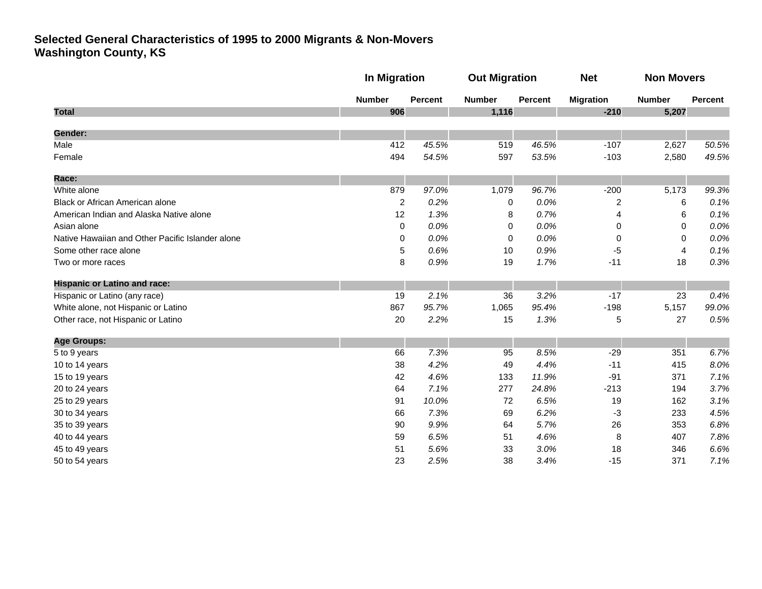|                                                  | <b>In Migration</b> |                | <b>Out Migration</b> |                | <b>Net</b>       | <b>Non Movers</b> |         |
|--------------------------------------------------|---------------------|----------------|----------------------|----------------|------------------|-------------------|---------|
|                                                  | <b>Number</b>       | <b>Percent</b> | <b>Number</b>        | <b>Percent</b> | <b>Migration</b> | <b>Number</b>     | Percent |
| <b>Total</b>                                     | 906                 |                | 1,116                |                | $-210$           | 5,207             |         |
| Gender:                                          |                     |                |                      |                |                  |                   |         |
| Male                                             | 412                 | 45.5%          | 519                  | 46.5%          | $-107$           | 2,627             | 50.5%   |
| Female                                           | 494                 | 54.5%          | 597                  | 53.5%          | $-103$           | 2,580             | 49.5%   |
| Race:                                            |                     |                |                      |                |                  |                   |         |
| White alone                                      | 879                 | 97.0%          | 1,079                | 96.7%          | $-200$           | 5,173             | 99.3%   |
| Black or African American alone                  | $\overline{c}$      | 0.2%           | 0                    | 0.0%           | 2                | 6                 | 0.1%    |
| American Indian and Alaska Native alone          | 12                  | 1.3%           | 8                    | 0.7%           | 4                | 6                 | 0.1%    |
| Asian alone                                      | $\mathbf 0$         | 0.0%           | 0                    | 0.0%           | 0                | 0                 | 0.0%    |
| Native Hawaiian and Other Pacific Islander alone | 0                   | 0.0%           | 0                    | 0.0%           | 0                | 0                 | 0.0%    |
| Some other race alone                            | 5                   | 0.6%           | 10                   | 0.9%           | $-5$             | 4                 | 0.1%    |
| Two or more races                                | 8                   | 0.9%           | 19                   | 1.7%           | $-11$            | 18                | 0.3%    |
| <b>Hispanic or Latino and race:</b>              |                     |                |                      |                |                  |                   |         |
| Hispanic or Latino (any race)                    | 19                  | 2.1%           | 36                   | 3.2%           | $-17$            | 23                | 0.4%    |
| White alone, not Hispanic or Latino              | 867                 | 95.7%          | 1,065                | 95.4%          | $-198$           | 5,157             | 99.0%   |
| Other race, not Hispanic or Latino               | 20                  | 2.2%           | 15                   | 1.3%           | 5                | 27                | 0.5%    |
| <b>Age Groups:</b>                               |                     |                |                      |                |                  |                   |         |
| 5 to 9 years                                     | 66                  | 7.3%           | 95                   | 8.5%           | $-29$            | 351               | 6.7%    |
| 10 to 14 years                                   | 38                  | 4.2%           | 49                   | 4.4%           | $-11$            | 415               | 8.0%    |
| 15 to 19 years                                   | 42                  | 4.6%           | 133                  | 11.9%          | $-91$            | 371               | 7.1%    |
| 20 to 24 years                                   | 64                  | 7.1%           | 277                  | 24.8%          | $-213$           | 194               | 3.7%    |
| 25 to 29 years                                   | 91                  | 10.0%          | 72                   | 6.5%           | 19               | 162               | 3.1%    |
| 30 to 34 years                                   | 66                  | 7.3%           | 69                   | 6.2%           | $-3$             | 233               | 4.5%    |
| 35 to 39 years                                   | 90                  | 9.9%           | 64                   | 5.7%           | 26               | 353               | 6.8%    |
| 40 to 44 years                                   | 59                  | 6.5%           | 51                   | 4.6%           | 8                | 407               | 7.8%    |
| 45 to 49 years                                   | 51                  | 5.6%           | 33                   | 3.0%           | 18               | 346               | 6.6%    |
| 50 to 54 years                                   | 23                  | 2.5%           | 38                   | 3.4%           | $-15$            | 371               | 7.1%    |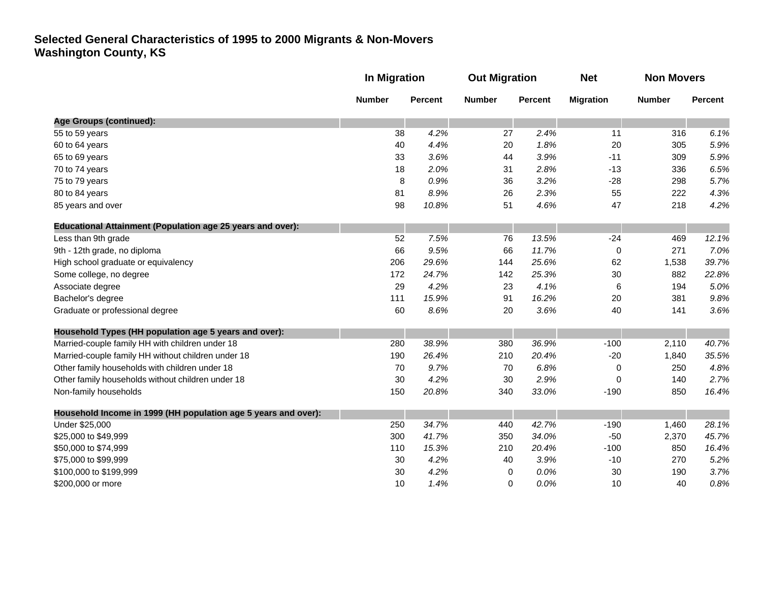|                                                                   | <b>In Migration</b> |                | <b>Out Migration</b> |                | <b>Net</b>       | <b>Non Movers</b> |         |
|-------------------------------------------------------------------|---------------------|----------------|----------------------|----------------|------------------|-------------------|---------|
|                                                                   | <b>Number</b>       | <b>Percent</b> | <b>Number</b>        | <b>Percent</b> | <b>Migration</b> | <b>Number</b>     | Percent |
| Age Groups (continued):                                           |                     |                |                      |                |                  |                   |         |
| 55 to 59 years                                                    | 38                  | 4.2%           | 27                   | 2.4%           | 11               | 316               | 6.1%    |
| 60 to 64 years                                                    | 40                  | 4.4%           | 20                   | 1.8%           | 20               | 305               | 5.9%    |
| 65 to 69 years                                                    | 33                  | 3.6%           | 44                   | 3.9%           | $-11$            | 309               | 5.9%    |
| 70 to 74 years                                                    | 18                  | 2.0%           | 31                   | 2.8%           | $-13$            | 336               | 6.5%    |
| 75 to 79 years                                                    | 8                   | 0.9%           | 36                   | 3.2%           | $-28$            | 298               | 5.7%    |
| 80 to 84 years                                                    | 81                  | 8.9%           | 26                   | 2.3%           | 55               | 222               | 4.3%    |
| 85 years and over                                                 | 98                  | 10.8%          | 51                   | 4.6%           | 47               | 218               | 4.2%    |
| <b>Educational Attainment (Population age 25 years and over):</b> |                     |                |                      |                |                  |                   |         |
| Less than 9th grade                                               | 52                  | 7.5%           | 76                   | 13.5%          | $-24$            | 469               | 12.1%   |
| 9th - 12th grade, no diploma                                      | 66                  | 9.5%           | 66                   | 11.7%          | 0                | 271               | 7.0%    |
| High school graduate or equivalency                               | 206                 | 29.6%          | 144                  | 25.6%          | 62               | 1,538             | 39.7%   |
| Some college, no degree                                           | 172                 | 24.7%          | 142                  | 25.3%          | 30               | 882               | 22.8%   |
| Associate degree                                                  | 29                  | 4.2%           | 23                   | 4.1%           | 6                | 194               | 5.0%    |
| Bachelor's degree                                                 | 111                 | 15.9%          | 91                   | 16.2%          | 20               | 381               | 9.8%    |
| Graduate or professional degree                                   | 60                  | 8.6%           | 20                   | 3.6%           | 40               | 141               | 3.6%    |
| Household Types (HH population age 5 years and over):             |                     |                |                      |                |                  |                   |         |
| Married-couple family HH with children under 18                   | 280                 | 38.9%          | 380                  | 36.9%          | $-100$           | 2,110             | 40.7%   |
| Married-couple family HH without children under 18                | 190                 | 26.4%          | 210                  | 20.4%          | $-20$            | 1,840             | 35.5%   |
| Other family households with children under 18                    | 70                  | 9.7%           | 70                   | 6.8%           | 0                | 250               | 4.8%    |
| Other family households without children under 18                 | 30                  | 4.2%           | 30                   | 2.9%           | 0                | 140               | 2.7%    |
| Non-family households                                             | 150                 | 20.8%          | 340                  | 33.0%          | $-190$           | 850               | 16.4%   |
| Household Income in 1999 (HH population age 5 years and over):    |                     |                |                      |                |                  |                   |         |
| Under \$25,000                                                    | 250                 | 34.7%          | 440                  | 42.7%          | $-190$           | 1,460             | 28.1%   |
| \$25,000 to \$49,999                                              | 300                 | 41.7%          | 350                  | 34.0%          | $-50$            | 2,370             | 45.7%   |
| \$50,000 to \$74,999                                              | 110                 | 15.3%          | 210                  | 20.4%          | $-100$           | 850               | 16.4%   |
| \$75,000 to \$99,999                                              | 30                  | 4.2%           | 40                   | 3.9%           | $-10$            | 270               | 5.2%    |
| \$100,000 to \$199,999                                            | 30                  | 4.2%           | 0                    | 0.0%           | 30               | 190               | 3.7%    |
| \$200,000 or more                                                 | 10                  | 1.4%           | 0                    | 0.0%           | 10               | 40                | 0.8%    |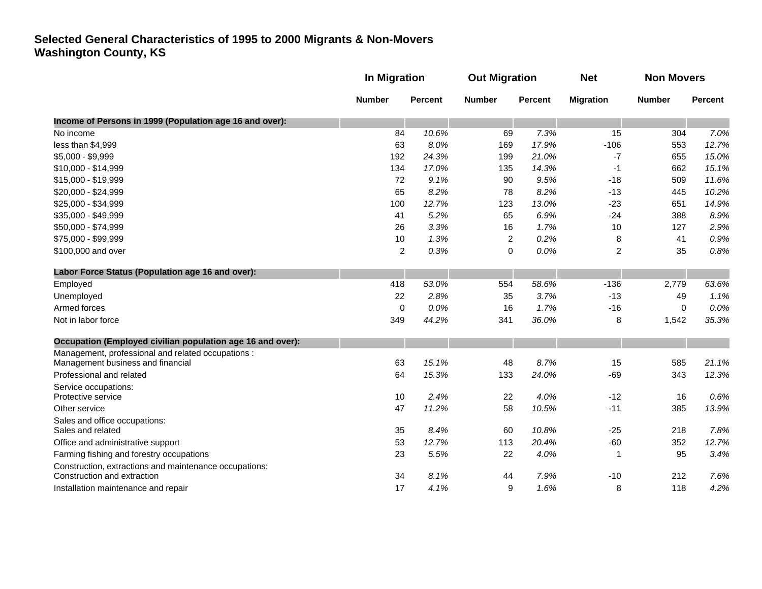|                                                            |                | In Migration   |                | <b>Out Migration</b> |                  | <b>Non Movers</b> |                |
|------------------------------------------------------------|----------------|----------------|----------------|----------------------|------------------|-------------------|----------------|
|                                                            | <b>Number</b>  | <b>Percent</b> | <b>Number</b>  | <b>Percent</b>       | <b>Migration</b> | <b>Number</b>     | <b>Percent</b> |
| Income of Persons in 1999 (Population age 16 and over):    |                |                |                |                      |                  |                   |                |
| No income                                                  | 84             | 10.6%          | 69             | 7.3%                 | 15               | 304               | 7.0%           |
| less than \$4,999                                          | 63             | 8.0%           | 169            | 17.9%                | $-106$           | 553               | 12.7%          |
| \$5,000 - \$9,999                                          | 192            | 24.3%          | 199            | 21.0%                | $-7$             | 655               | 15.0%          |
| \$10,000 - \$14,999                                        | 134            | 17.0%          | 135            | 14.3%                | -1               | 662               | 15.1%          |
| \$15,000 - \$19,999                                        | 72             | 9.1%           | 90             | 9.5%                 | $-18$            | 509               | 11.6%          |
| \$20,000 - \$24,999                                        | 65             | 8.2%           | 78             | 8.2%                 | $-13$            | 445               | 10.2%          |
| \$25,000 - \$34,999                                        | 100            | 12.7%          | 123            | 13.0%                | $-23$            | 651               | 14.9%          |
| \$35,000 - \$49,999                                        | 41             | 5.2%           | 65             | 6.9%                 | $-24$            | 388               | 8.9%           |
| \$50,000 - \$74,999                                        | 26             | 3.3%           | 16             | 1.7%                 | 10               | 127               | 2.9%           |
| \$75,000 - \$99,999                                        | 10             | 1.3%           | $\overline{c}$ | 0.2%                 | 8                | 41                | 0.9%           |
| \$100,000 and over                                         | $\overline{2}$ | 0.3%           | 0              | 0.0%                 | $\overline{c}$   | 35                | 0.8%           |
| Labor Force Status (Population age 16 and over):           |                |                |                |                      |                  |                   |                |
| Employed                                                   | 418            | 53.0%          | 554            | 58.6%                | $-136$           | 2,779             | 63.6%          |
| Unemployed                                                 | 22             | 2.8%           | 35             | 3.7%                 | $-13$            | 49                | 1.1%           |
| Armed forces                                               | $\mathbf 0$    | 0.0%           | 16             | 1.7%                 | $-16$            | 0                 | 0.0%           |
| Not in labor force                                         | 349            | 44.2%          | 341            | 36.0%                | 8                | 1,542             | 35.3%          |
| Occupation (Employed civilian population age 16 and over): |                |                |                |                      |                  |                   |                |
| Management, professional and related occupations :         |                |                |                |                      |                  |                   |                |
| Management business and financial                          | 63             | 15.1%          | 48             | 8.7%                 | 15               | 585               | 21.1%          |
| Professional and related                                   | 64             | 15.3%          | 133            | 24.0%                | $-69$            | 343               | 12.3%          |
| Service occupations:                                       |                |                |                |                      |                  |                   |                |
| Protective service                                         | 10             | 2.4%           | 22             | 4.0%                 | $-12$            | 16                | 0.6%           |
| Other service                                              | 47             | 11.2%          | 58             | 10.5%                | $-11$            | 385               | 13.9%          |
| Sales and office occupations:                              |                |                |                |                      |                  |                   |                |
| Sales and related                                          | 35             | 8.4%           | 60             | 10.8%                | $-25$            | 218               | 7.8%           |
| Office and administrative support                          | 53             | 12.7%          | 113            | 20.4%                | $-60$            | 352               | 12.7%          |
| Farming fishing and forestry occupations                   | 23             | 5.5%           | 22             | 4.0%                 | $\mathbf 1$      | 95                | 3.4%           |
| Construction, extractions and maintenance occupations:     |                |                |                |                      |                  |                   |                |
| Construction and extraction                                | 34<br>17       | 8.1%           | 44             | 7.9%                 | $-10$            | 212               | 7.6%           |
| Installation maintenance and repair                        |                | 4.1%           | 9              | 1.6%                 | 8                | 118               | 4.2%           |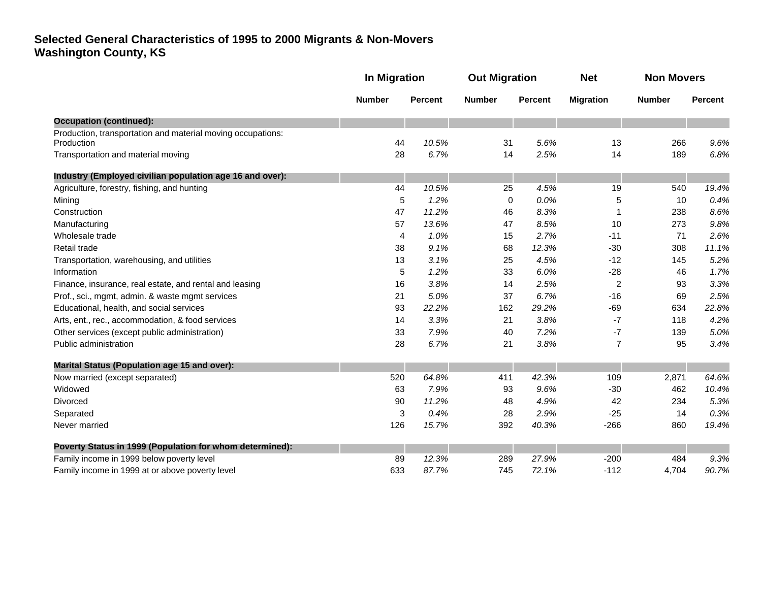|                                                                           | <b>In Migration</b> |                | <b>Out Migration</b> |                | <b>Net</b>       | <b>Non Movers</b> |         |
|---------------------------------------------------------------------------|---------------------|----------------|----------------------|----------------|------------------|-------------------|---------|
|                                                                           | <b>Number</b>       | <b>Percent</b> | <b>Number</b>        | <b>Percent</b> | <b>Migration</b> | <b>Number</b>     | Percent |
| <b>Occupation (continued):</b>                                            |                     |                |                      |                |                  |                   |         |
| Production, transportation and material moving occupations:<br>Production | 44                  | 10.5%          | 31                   | 5.6%           | 13               | 266               | 9.6%    |
| Transportation and material moving                                        | 28                  | 6.7%           | 14                   | 2.5%           | 14               | 189               | 6.8%    |
| Industry (Employed civilian population age 16 and over):                  |                     |                |                      |                |                  |                   |         |
| Agriculture, forestry, fishing, and hunting                               | 44                  | 10.5%          | 25                   | 4.5%           | 19               | 540               | 19.4%   |
| Mining                                                                    | 5                   | 1.2%           | 0                    | 0.0%           | 5                | 10                | 0.4%    |
| Construction                                                              | 47                  | 11.2%          | 46                   | 8.3%           |                  | 238               | 8.6%    |
| Manufacturing                                                             | 57                  | 13.6%          | 47                   | 8.5%           | 10               | 273               | 9.8%    |
| Wholesale trade                                                           | 4                   | 1.0%           | 15                   | 2.7%           | $-11$            | 71                | 2.6%    |
| Retail trade                                                              | 38                  | 9.1%           | 68                   | 12.3%          | $-30$            | 308               | 11.1%   |
| Transportation, warehousing, and utilities                                | 13                  | 3.1%           | 25                   | 4.5%           | $-12$            | 145               | 5.2%    |
| Information                                                               | 5                   | 1.2%           | 33                   | 6.0%           | $-28$            | 46                | 1.7%    |
| Finance, insurance, real estate, and rental and leasing                   | 16                  | 3.8%           | 14                   | 2.5%           | $\overline{c}$   | 93                | 3.3%    |
| Prof., sci., mgmt, admin. & waste mgmt services                           | 21                  | 5.0%           | 37                   | 6.7%           | $-16$            | 69                | 2.5%    |
| Educational, health, and social services                                  | 93                  | 22.2%          | 162                  | 29.2%          | $-69$            | 634               | 22.8%   |
| Arts, ent., rec., accommodation, & food services                          | 14                  | 3.3%           | 21                   | 3.8%           | -7               | 118               | 4.2%    |
| Other services (except public administration)                             | 33                  | 7.9%           | 40                   | 7.2%           | $-7$             | 139               | 5.0%    |
| Public administration                                                     | 28                  | 6.7%           | 21                   | 3.8%           | $\overline{7}$   | 95                | 3.4%    |
| Marital Status (Population age 15 and over):                              |                     |                |                      |                |                  |                   |         |
| Now married (except separated)                                            | 520                 | 64.8%          | 411                  | 42.3%          | 109              | 2,871             | 64.6%   |
| Widowed                                                                   | 63                  | 7.9%           | 93                   | 9.6%           | $-30$            | 462               | 10.4%   |
| Divorced                                                                  | 90                  | 11.2%          | 48                   | 4.9%           | 42               | 234               | 5.3%    |
| Separated                                                                 | 3                   | 0.4%           | 28                   | 2.9%           | $-25$            | 14                | 0.3%    |
| Never married                                                             | 126                 | 15.7%          | 392                  | 40.3%          | $-266$           | 860               | 19.4%   |
| Poverty Status in 1999 (Population for whom determined):                  |                     |                |                      |                |                  |                   |         |
| Family income in 1999 below poverty level                                 | 89                  | 12.3%          | 289                  | 27.9%          | $-200$           | 484               | 9.3%    |
| Family income in 1999 at or above poverty level                           | 633                 | 87.7%          | 745                  | 72.1%          | $-112$           | 4,704             | 90.7%   |